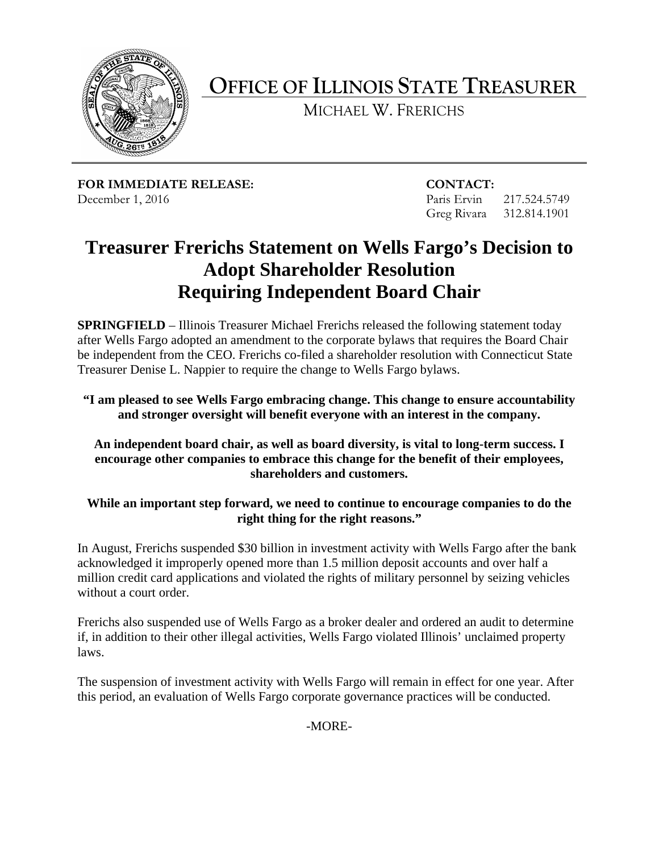

**OFFICE OF ILLINOIS STATE TREASURER**

MICHAEL W. FRERICHS

**FOR IMMEDIATE RELEASE: CONTACT:** December 1, 2016 Paris Ervin 217.524.5749

Greg Rivara 312.814.1901

## **Treasurer Frerichs Statement on Wells Fargo's Decision to Adopt Shareholder Resolution Requiring Independent Board Chair**

**SPRINGFIELD** – Illinois Treasurer Michael Frerichs released the following statement today after Wells Fargo adopted an amendment to the corporate bylaws that requires the Board Chair be independent from the CEO. Frerichs co-filed a shareholder resolution with Connecticut State Treasurer Denise L. Nappier to require the change to Wells Fargo bylaws.

**"I am pleased to see Wells Fargo embracing change. This change to ensure accountability and stronger oversight will benefit everyone with an interest in the company.**

## **An independent board chair, as well as board diversity, is vital to long-term success. I encourage other companies to embrace this change for the benefit of their employees, shareholders and customers.**

## **While an important step forward, we need to continue to encourage companies to do the right thing for the right reasons."**

In August, Frerichs suspended \$30 billion in investment activity with Wells Fargo after the bank acknowledged it improperly opened more than 1.5 million deposit accounts and over half a million credit card applications and violated the rights of military personnel by seizing vehicles without a court order.

Frerichs also suspended use of Wells Fargo as a broker dealer and ordered an audit to determine if, in addition to their other illegal activities, Wells Fargo violated Illinois' unclaimed property laws.

The suspension of investment activity with Wells Fargo will remain in effect for one year. After this period, an evaluation of Wells Fargo corporate governance practices will be conducted.

-MORE-